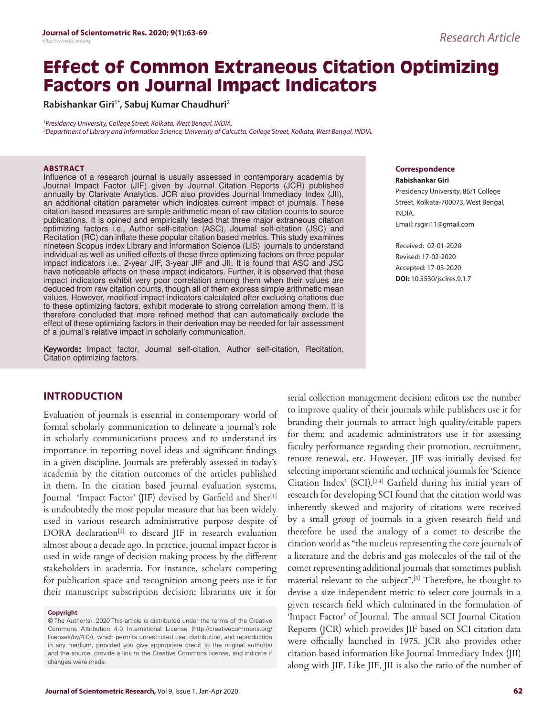# **Effect of Common Extraneous Citation Optimizing Factors on Journal Impact Indicators**

**Rabishankar Giri1\*, Sabuj Kumar Chaudhuri<sup>2</sup>**

<sup>1</sup>Presidency University, College Street, Kolkata, West Bengal, INDIA. <sup>2</sup>Department of Library and Information Science, University of Calcutta, College Street, Kolkata, West Bengal, INDIA.

#### **ABSTRACT**

Influence of a research journal is usually assessed in contemporary academia by Journal Impact Factor (JIF) given by Journal Citation Reports (JCR) published annually by Clarivate Analytics. JCR also provides Journal Immediacy Index (JII), an additional citation parameter which indicates current impact of journals. These citation based measures are simple arithmetic mean of raw citation counts to source publications. It is opined and empirically tested that three major extraneous citation optimizing factors i.e., Author self-citation (ASC), Journal self-citation (JSC) and Recitation (RC) can inflate these popular citation based metrics. This study examines nineteen Scopus index Library and Information Science (LIS) journals to understand individual as well as unified effects of these three optimizing factors on three popular impact indicators i.e., 2-year JIF, 3-year JIF and JII. It is found that ASC and JSC have noticeable effects on these impact indicators. Further, it is observed that these impact indicators exhibit very poor correlation among them when their values are deduced from raw citation counts, though all of them express simple arithmetic mean values. However, modified impact indicators calculated after excluding citations due to these optimizing factors, exhibit moderate to strong correlation among them. It is therefore concluded that more refined method that can automatically exclude the effect of these optimizing factors in their derivation may be needed for fair assessment of a journal's relative impact in scholarly communication.

Keywords: Impact factor, Journal self-citation, Author self-citation, Recitation, Citation optimizing factors.

## **INTRODUCTION**

Evaluation of journals is essential in contemporary world of formal scholarly communication to delineate a journal's role in scholarly communications process and to understand its importance in reporting novel ideas and significant findings in a given discipline. Journals are preferably assessed in today's academia by the citation outcomes of the articles published in them. In the citation based journal evaluation systems, Journal 'Impact Factor' (JIF) devised by Garfield and Sher<sup>[1]</sup> is undoubtedly the most popular measure that has been widely used in various research administrative purpose despite of DORA declaration[2] to discard JIF in research evaluation almost about a decade ago. In practice, journal impact factor is used in wide range of decision making process by the different stakeholders in academia. For instance, scholars competing for publication space and recognition among peers use it for their manuscript subscription decision; librarians use it for

#### **Copyright**

© The Author(s). 2020 This article is distributed under the terms of the Creative Commons Attribution 4.0 International License (http://creativecommons.org/ licenses/by/4.0/), which permits unrestricted use, distribution, and reproduction in any medium, provided you give appropriate credit to the original author(s) and the source, provide a link to the Creative Commons license, and indicate if changes were made.

**Correspondence**

**Rabishankar Giri** Presidency University, 86/1 College Street, Kolkata-700073, West Bengal, INDIA. Email: rsgiri11@gmail.com

Received: 02-01-2020 Revised: 17-02-2020 Accepted: 17-03-2020 **DOI:** 10.5530/jscires.9.1.7

serial collection management decision; editors use the number to improve quality of their journals while publishers use it for branding their journals to attract high quality/citable papers for them; and academic administrators use it for assessing faculty performance regarding their promotion, recruitment, tenure renewal, etc. However, JIF was initially devised for selecting important scientific and technical journals for 'Science Citation Index' (SCI).[3,4] Garfield during his initial years of research for developing SCI found that the citation world was inherently skewed and majority of citations were received by a small group of journals in a given research field and therefore he used the analogy of a comet to describe the citation world as "the nucleus representing the core journals of a literature and the debris and gas molecules of the tail of the comet representing additional journals that sometimes publish material relevant to the subject".[5] Therefore, he thought to devise a size independent metric to select core journals in a given research field which culminated in the formulation of 'Impact Factor' of Journal. The annual SCI Journal Citation Reports (JCR) which provides JIF based on SCI citation data were officially launched in 1975. JCR also provides other citation based information like Journal Immediacy Index (JII) along with JIF. Like JIF, JII is also the ratio of the number of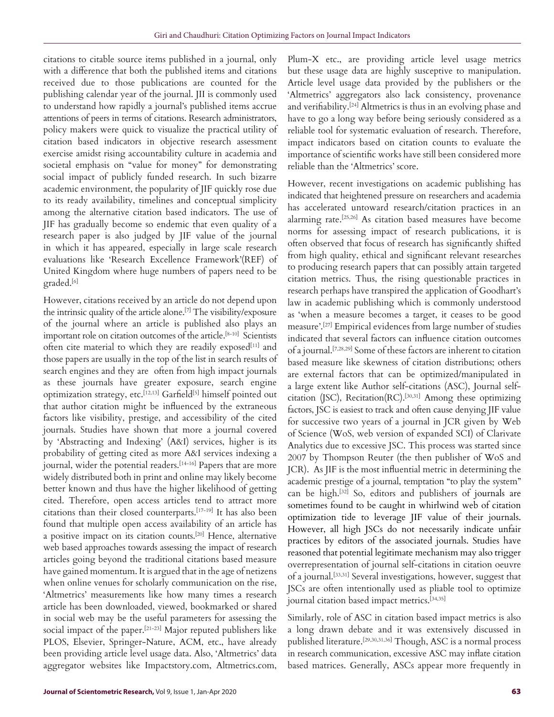citations to citable source items published in a journal, only with a difference that both the published items and citations received due to those publications are counted for the publishing calendar year of the journal. JII is commonly used to understand how rapidly a journal's published items accrue attentions of peers in terms of citations. Research administrators, policy makers were quick to visualize the practical utility of citation based indicators in objective research assessment exercise amidst rising accountability culture in academia and societal emphasis on "value for money" for demonstrating social impact of publicly funded research. In such bizarre academic environment, the popularity of JIF quickly rose due to its ready availability, timelines and conceptual simplicity among the alternative citation based indicators. The use of JIF has gradually become so endemic that even quality of a research paper is also judged by JIF value of the journal in which it has appeared, especially in large scale research evaluations like 'Research Excellence Framework'(REF) of United Kingdom where huge numbers of papers need to be graded.[6]

However, citations received by an article do not depend upon the intrinsic quality of the article alone.[7] The visibility/exposure of the journal where an article is published also plays an important role on citation outcomes of the article.<sup>[8-10]</sup> Scientists often cite material to which they are readily exposed<sup>[11]</sup> and those papers are usually in the top of the list in search results of search engines and they are often from high impact journals as these journals have greater exposure, search engine optimization strategy, etc.[12,13] Garfield[5] himself pointed out that author citation might be influenced by the extraneous factors like visibility, prestige, and accessibility of the cited journals. Studies have shown that more a journal covered by 'Abstracting and Indexing' (A&I) services, higher is its probability of getting cited as more A&I services indexing a journal, wider the potential readers.<sup>[14-16]</sup> Papers that are more widely distributed both in print and online may likely become better known and thus have the higher likelihood of getting cited. Therefore, open access articles tend to attract more citations than their closed counterparts.[17-19] It has also been found that multiple open access availability of an article has a positive impact on its citation counts.[20] Hence, alternative web based approaches towards assessing the impact of research articles going beyond the traditional citations based measure have gained momentum. It is argued that in the age of netizens when online venues for scholarly communication on the rise, 'Altmetrics' measurements like how many times a research article has been downloaded, viewed, bookmarked or shared in social web may be the useful parameters for assessing the social impact of the paper.<sup>[21-23]</sup> Major reputed publishers like PLOS, Elsevier, Springer-Nature, ACM, etc., have already been providing article level usage data. Also, 'Altmetrics' data aggregator websites like Impactstory.com, Altmetrics.com,

Plum-X etc., are providing article level usage metrics but these usage data are highly susceptive to manipulation. Article level usage data provided by the publishers or the 'Altmetrics' aggregators also lack consistency, provenance and verifiability.[24] Altmetrics is thus in an evolving phase and have to go a long way before being seriously considered as a reliable tool for systematic evaluation of research. Therefore, impact indicators based on citation counts to evaluate the importance of scientific works have still been considered more reliable than the 'Altmetrics' score.

However, recent investigations on academic publishing has indicated that heightened pressure on researchers and academia has accelerated untoward research/citation practices in an alarming rate.[25,26] As citation based measures have become norms for assessing impact of research publications, it is often observed that focus of research has significantly shifted from high quality, ethical and significant relevant researches to producing research papers that can possibly attain targeted citation metrics. Thus, the rising questionable practices in research perhaps have transpired the application of Goodhart's law in academic publishing which is commonly understood as 'when a measure becomes a target, it ceases to be good measure'.[27] Empirical evidences from large number of studies indicated that several factors can influence citation outcomes of a journal.[7,28,29] Some of these factors are inherent to citation based measure like skewness of citation distributions; others are external factors that can be optimized/manipulated in a large extent like Author self-citations (ASC), Journal selfcitation (JSC), Recitation(RC).[30,31] Among these optimizing factors, JSC is easiest to track and often cause denying JIF value for successive two years of a journal in JCR given by Web of Science (WoS, web version of expanded SCI) of Clarivate Analytics due to excessive JSC. This process was started since 2007 by Thompson Reuter (the then publisher of WoS and JCR). As JIF is the most influential metric in determining the academic prestige of a journal, temptation "to play the system" can be high.[32] So, editors and publishers of journals are sometimes found to be caught in whirlwind web of citation optimization tide to leverage JIF value of their journals. However, all high JSCs do not necessarily indicate unfair practices by editors of the associated journals. Studies have reasoned that potential legitimate mechanism may also trigger overrepresentation of journal self-citations in citation oeuvre of a journal.[33,31] Several investigations, however, suggest that JSCs are often intentionally used as pliable tool to optimize journal citation based impact metrics.<sup>[34,35]</sup>

Similarly, role of ASC in citation based impact metrics is also a long drawn debate and it was extensively discussed in published literature.[29,30,31,36] Though, ASC is a normal process in research communication, excessive ASC may inflate citation based matrices. Generally, ASCs appear more frequently in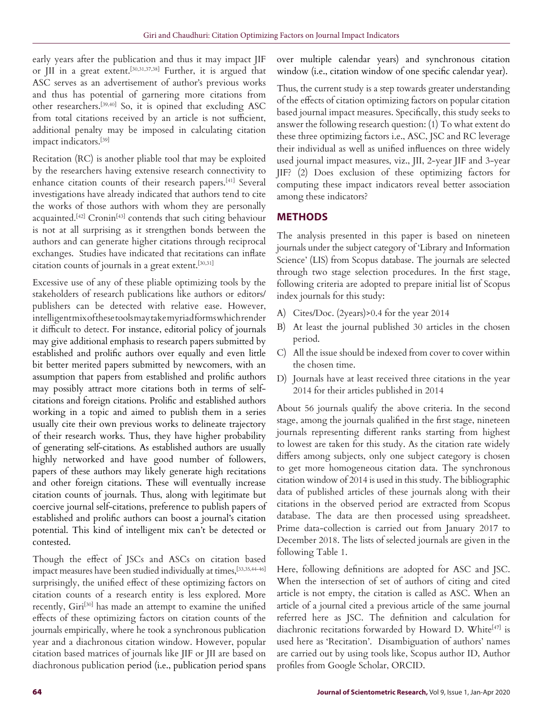early years after the publication and thus it may impact JIF or JII in a great extent.[30,31,37,38] Further, it is argued that ASC serves as an advertisement of author's previous works and thus has potential of garnering more citations from other researchers.[39,40] So, it is opined that excluding ASC from total citations received by an article is not sufficient, additional penalty may be imposed in calculating citation impact indicators.[39]

Recitation (RC) is another pliable tool that may be exploited by the researchers having extensive research connectivity to enhance citation counts of their research papers.[41] Several investigations have already indicated that authors tend to cite the works of those authors with whom they are personally acquainted.[42] Cronin[43] contends that such citing behaviour is not at all surprising as it strengthen bonds between the authors and can generate higher citations through reciprocal exchanges. Studies have indicated that recitations can inflate citation counts of journals in a great extent.[30,31]

Excessive use of any of these pliable optimizing tools by the stakeholders of research publications like authors or editors/ publishers can be detected with relative ease. However, intelligent mix of these tools may take myriad forms which render it difficult to detect. For instance, editorial policy of journals may give additional emphasis to research papers submitted by established and prolific authors over equally and even little bit better merited papers submitted by newcomers, with an assumption that papers from established and prolific authors may possibly attract more citations both in terms of selfcitations and foreign citations. Prolific and established authors working in a topic and aimed to publish them in a series usually cite their own previous works to delineate trajectory of their research works. Thus, they have higher probability of generating self-citations. As established authors are usually highly networked and have good number of followers, papers of these authors may likely generate high recitations and other foreign citations. These will eventually increase citation counts of journals. Thus, along with legitimate but coercive journal self-citations, preference to publish papers of established and prolific authors can boost a journal's citation potential. This kind of intelligent mix can't be detected or contested.

Though the effect of JSCs and ASCs on citation based impact measures have been studied individually at times,[33,35,44-46] surprisingly, the unified effect of these optimizing factors on citation counts of a research entity is less explored. More recently, Giri<sup>[30]</sup> has made an attempt to examine the unified effects of these optimizing factors on citation counts of the journals empirically, where he took a synchronous publication year and a diachronous citation window. However, popular citation based matrices of journals like JIF or JII are based on diachronous publication period (i.e., publication period spans over multiple calendar years) and synchronous citation window (i.e., citation window of one specific calendar year).

Thus, the current study is a step towards greater understanding of the effects of citation optimizing factors on popular citation based journal impact measures. Specifically, this study seeks to answer the following research question: (1) To what extent do these three optimizing factors i.e., ASC, JSC and RC leverage their individual as well as unified influences on three widely used journal impact measures, viz., JII, 2-year JIF and 3-year JIF? (2) Does exclusion of these optimizing factors for computing these impact indicators reveal better association among these indicators?

# **METHODS**

The analysis presented in this paper is based on nineteen journals under the subject category of 'Library and Information Science' (LIS) from Scopus database. The journals are selected through two stage selection procedures. In the first stage, following criteria are adopted to prepare initial list of Scopus index journals for this study:

- A) Cites/Doc. (2years)>0.4 for the year 2014
- B) At least the journal published 30 articles in the chosen period.
- C) All the issue should be indexed from cover to cover within the chosen time.
- D) Journals have at least received three citations in the year 2014 for their articles published in 2014

About 56 journals qualify the above criteria. In the second stage, among the journals qualified in the first stage, nineteen journals representing different ranks starting from highest to lowest are taken for this study. As the citation rate widely differs among subjects, only one subject category is chosen to get more homogeneous citation data. The synchronous citation window of 2014 is used in this study. The bibliographic data of published articles of these journals along with their citations in the observed period are extracted from Scopus database. The data are then processed using spreadsheet. Prime data-collection is carried out from January 2017 to December 2018. The lists of selected journals are given in the following Table 1.

Here, following definitions are adopted for ASC and JSC. When the intersection of set of authors of citing and cited article is not empty, the citation is called as ASC. When an article of a journal cited a previous article of the same journal referred here as JSC. The definition and calculation for diachronic recitations forwarded by Howard D. White[47] is used here as 'Recitation'. Disambiguation of authors' names are carried out by using tools like, Scopus author ID, Author profiles from Google Scholar, ORCID.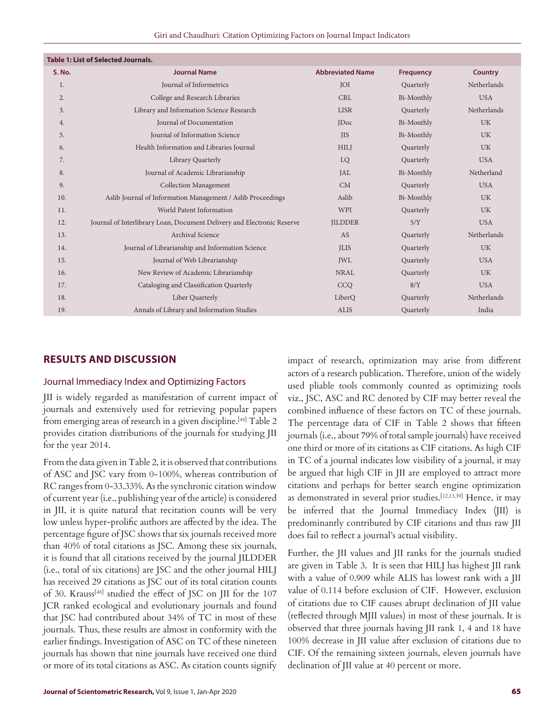| Giri and Chaudhuri: Citation Optimizing Factors on Journal Impact Indicators |  |  |
|------------------------------------------------------------------------------|--|--|
|------------------------------------------------------------------------------|--|--|

| <b>Table 1: List of Selected Journals.</b>                             |                         |                  |                |
|------------------------------------------------------------------------|-------------------------|------------------|----------------|
| <b>Journal Name</b>                                                    | <b>Abbreviated Name</b> | <b>Frequency</b> | <b>Country</b> |
| Journal of Informetrics                                                | <b>JOI</b>              | Quarterly        | Netherlands    |
| College and Research Libraries                                         | <b>CRL</b>              | Bi-Monthly       | <b>USA</b>     |
| Library and Information Science Research                               | <b>LISR</b>             | Quarterly        | Netherlands    |
| Journal of Documentation                                               | <b>IDoc</b>             | Bi-Monthly       | <b>UK</b>      |
| Journal of Information Science                                         | <b>IIS</b>              | Bi-Monthly       | <b>UK</b>      |
| Health Information and Libraries Journal                               | <b>HILI</b>             | Quarterly        | <b>UK</b>      |
| Library Quarterly                                                      | LQ                      | Quarterly        | <b>USA</b>     |
| Journal of Academic Librarianship                                      | <b>JAL</b>              | Bi-Monthly       | Netherland     |
| <b>Collection Management</b>                                           | CM                      | Quarterly        | <b>USA</b>     |
| Aslib Journal of Information Management / Aslib Proceedings            | Aslib                   | Bi-Monthly       | <b>UK</b>      |
| World Patent Information                                               | WPI                     | Quarterly        | <b>UK</b>      |
| Journal of Interlibrary Loan, Document Delivery and Electronic Reserve | <b>JILDDER</b>          | 5/Y              | <b>USA</b>     |
| Archival Science                                                       | AS                      | Quarterly        | Netherlands    |
| Journal of Librarianship and Information Science                       | <b>ILIS</b>             | Quarterly        | <b>UK</b>      |
| Journal of Web Librarianship                                           | <b>JWL</b>              | Quarterly        | <b>USA</b>     |
| New Review of Academic Librarianship                                   | <b>NRAL</b>             | Quarterly        | <b>UK</b>      |
| Cataloging and Classification Quarterly                                | CCO                     | 8/Y              | <b>USA</b>     |
| Liber Quarterly                                                        | LiberQ                  | Quarterly        | Netherlands    |
| Annals of Library and Information Studies                              | <b>ALIS</b>             | Quarterly        | India          |
|                                                                        |                         |                  |                |

# **RESULTS AND DISCUSSION**

### Journal Immediacy Index and Optimizing Factors

JII is widely regarded as manifestation of current impact of journals and extensively used for retrieving popular papers from emerging areas of research in a given discipline.<sup>[44]</sup> Table 2 provides citation distributions of the journals for studying JII for the year 2014.

From the data given in Table 2, it is observed that contributions of ASC and JSC vary from 0-100%, whereas contribution of RC ranges from 0-33.33%. As the synchronic citation window of current year (i.e., publishing year of the article) is considered in JII, it is quite natural that recitation counts will be very low unless hyper-prolific authors are affected by the idea. The percentage figure of JSC shows that six journals received more than 40% of total citations as JSC. Among these six journals, it is found that all citations received by the journal JILDDER (i.e., total of six citations) are JSC and the other journal HILJ has received 29 citations as JSC out of its total citation counts of 30. Krauss<sup>[48]</sup> studied the effect of JSC on JII for the 107 JCR ranked ecological and evolutionary journals and found that JSC had contributed about 34% of TC in most of these journals. Thus, these results are almost in conformity with the earlier findings. Investigation of ASC on TC of these nineteen journals has shown that nine journals have received one third or more of its total citations as ASC. As citation counts signify

impact of research, optimization may arise from different actors of a research publication. Therefore, union of the widely used pliable tools commonly counted as optimizing tools viz., JSC, ASC and RC denoted by CIF may better reveal the combined influence of these factors on TC of these journals. The percentage data of CIF in Table 2 shows that fifteen journals (i.e., about 79% of total sample journals) have received one third or more of its citations as CIF citations. As high CIF in TC of a journal indicates low visibility of a journal, it may be argued that high CIF in JII are employed to attract more citations and perhaps for better search engine optimization as demonstrated in several prior studies.[12,13,39] Hence, it may be inferred that the Journal Immediacy Index (JII) is predominantly contributed by CIF citations and thus raw JII does fail to reflect a journal's actual visibility.

Further, the JII values and JII ranks for the journals studied are given in Table 3. It is seen that HILJ has highest JII rank with a value of 0.909 while ALIS has lowest rank with a JII value of 0.114 before exclusion of CIF. However, exclusion of citations due to CIF causes abrupt declination of JII value (reflected through MJII values) in most of these journals. It is observed that three journals having JII rank 1, 4 and 18 have 100% decrease in JII value after exclusion of citations due to CIF. Of the remaining sixteen journals, eleven journals have declination of JII value at 40 percent or more.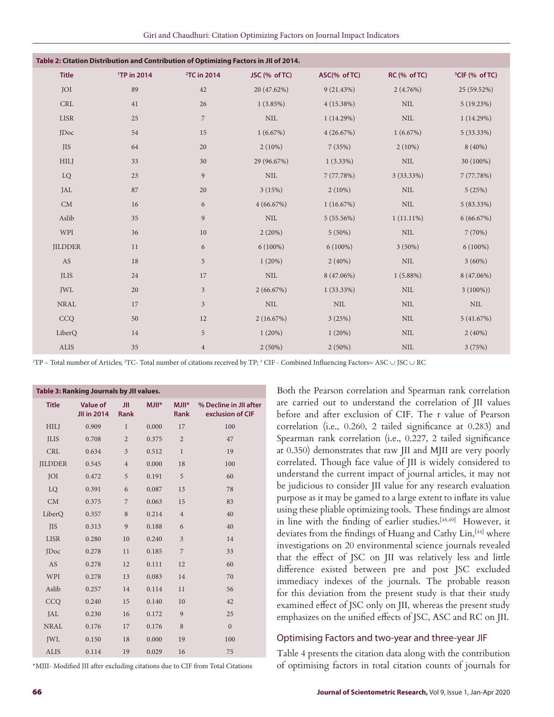| Table 2: Citation Distribution and Contribution of Optimizing Factors in JII of 2014. |                         |                         |               |              |              |                            |  |  |
|---------------------------------------------------------------------------------------|-------------------------|-------------------------|---------------|--------------|--------------|----------------------------|--|--|
| <b>Title</b>                                                                          | <sup>1</sup> TP in 2014 | <sup>2</sup> TC in 2014 | JSC (% of TC) | ASC(% of TC) | RC (% of TC) | <sup>3</sup> CIF (% of TC) |  |  |
| <b>JOI</b>                                                                            | 89                      | 42                      | 20 (47.62%)   | 9(21.43%)    | $2(4.76\%)$  | 25 (59.52%)                |  |  |
| <b>CRL</b>                                                                            | 41                      | 26                      | 1(3.85%)      | 4(15.38%)    | $\mbox{NIL}$ | 5(19.23%)                  |  |  |
| <b>LISR</b>                                                                           | 25                      | $\overline{7}$          | $\text{NIL}$  | 1(14.29%)    | <b>NIL</b>   | 1(14.29%)                  |  |  |
| <b>JDoc</b>                                                                           | 54                      | 15                      | 1(6.67%)      | 4(26.67%)    | 1(6.67%)     | $5(33.33\%)$               |  |  |
| <b>JIS</b>                                                                            | 64                      | 20                      | $2(10\%)$     | 7(35%)       | $2(10\%)$    | $8(40\%)$                  |  |  |
| <b>HILJ</b>                                                                           | 33                      | 30                      | 29 (96.67%)   | $1(3.33\%)$  | $\rm NIL$    | 30 (100%)                  |  |  |
| LQ                                                                                    | 23                      | 9                       | $\text{NIL}$  | 7(77.78%)    | $3(33.33\%)$ | 7(77.78%)                  |  |  |
| JAL                                                                                   | 87                      | 20                      | 3(15%)        | $2(10\%)$    | <b>NIL</b>   | 5(25%)                     |  |  |
| CM                                                                                    | 16                      | 6                       | 4(66.67%)     | 1(16.67%)    | $\rm NIL$    | $5(83.33\%)$               |  |  |
| Aslib                                                                                 | 35                      | 9                       | <b>NIL</b>    | 5(55.56%)    | $1(11.11\%)$ | 6(66.67%)                  |  |  |
| WPI                                                                                   | 36                      | 10                      | 2(20%)        | $5(50\%)$    | $\rm NIL$    | 7(70%)                     |  |  |
| <b>JILDDER</b>                                                                        | 11                      | 6                       | $6(100\%)$    | $6(100\%)$   | $3(50\%)$    | $6(100\%)$                 |  |  |
| AS                                                                                    | 18                      | 5                       | 1(20%)        | $2(40\%)$    | $\rm NIL$    | $3(60\%)$                  |  |  |
| <b>JLIS</b>                                                                           | 24                      | 17                      | $\mbox{NIL}$  | 8 (47.06%)   | $1(5.88\%)$  | 8 (47.06%)                 |  |  |
| <b>JWL</b>                                                                            | 20                      | $\overline{3}$          | 2(66.67%)     | $1(33.33\%)$ | $\rm NIL$    | $3(100\%)$                 |  |  |
| <b>NRAL</b>                                                                           | 17                      | $\mathfrak{Z}$          | $\text{NIL}$  | $\mbox{NIL}$ | $\rm NIL$    | $\text{NIL}$               |  |  |
| CCQ                                                                                   | 50                      | 12                      | 2(16.67%)     | 3(25%)       | <b>NIL</b>   | 5(41.67%)                  |  |  |
| LiberQ                                                                                | 14                      | 5                       | 1(20%)        | 1(20%)       | <b>NIL</b>   | $2(40\%)$                  |  |  |
| ALIS                                                                                  | 35                      | $\overline{4}$          | $2(50\%)$     | $2(50\%)$    | $\rm NIL$    | 3(75%)                     |  |  |

<sup>1</sup>TP – Total number of Articles; <sup>2</sup>TC- Total number of citations received by TP; <sup>3</sup> CIF - Combined Influencing Factors= ASC ∪ JSC ∪ RC

| Table 3: Ranking Journals by JII values. |                                       |                |              |                            |                                            |  |  |
|------------------------------------------|---------------------------------------|----------------|--------------|----------------------------|--------------------------------------------|--|--|
| <b>Title</b>                             | <b>Value of</b><br><b>JII in 2014</b> | JII<br>Rank    | <b>MJII*</b> | $M$ JII $*$<br><b>Rank</b> | % Decline in JII after<br>exclusion of CIF |  |  |
| <b>HILJ</b>                              | 0.909                                 | $\mathbf{1}$   | 0.000        | 17                         | 100                                        |  |  |
| <b>ILIS</b>                              | 0.708                                 | $\overline{2}$ | 0.375        | $\overline{2}$             | 47                                         |  |  |
| <b>CRL</b>                               | 0.634                                 | 3              | 0.512        | $\mathbf{1}$               | 19                                         |  |  |
| <b>JILDDER</b>                           | 0.545                                 | $\overline{4}$ | 0.000        | 18                         | 100                                        |  |  |
| <b>JOI</b>                               | 0.472                                 | 5              | 0.191        | 5                          | 60                                         |  |  |
| LO                                       | 0.391                                 | 6              | 0.087        | 13                         | 78                                         |  |  |
| CM                                       | 0.375                                 | 7              | 0.063        | 15                         | 83                                         |  |  |
| LiberQ                                   | 0.357                                 | 8              | 0.214        | $\overline{4}$             | 40                                         |  |  |
| <b>IIS</b>                               | 0.313                                 | 9              | 0.188        | 6                          | 40                                         |  |  |
| <b>LISR</b>                              | 0.280                                 | 10             | 0.240        | 3                          | 14                                         |  |  |
| <b>IDoc</b>                              | 0.278                                 | 11             | 0.185        | 7                          | 33                                         |  |  |
| AS                                       | 0.278                                 | 12             | 0.111        | 12                         | 60                                         |  |  |
| WPI                                      | 0.278                                 | 13             | 0.083        | 14                         | 70                                         |  |  |
| Aslib                                    | 0.257                                 | 14             | 0.114        | 11                         | 56                                         |  |  |
| CCQ                                      | 0.240                                 | 15             | 0.140        | 10                         | 42                                         |  |  |
| JAL                                      | 0.230                                 | 16             | 0.172        | 9                          | 25                                         |  |  |
| <b>NRAL</b>                              | 0.176                                 | 17             | 0.176        | 8                          | $\overline{0}$                             |  |  |
| <b>JWL</b>                               | 0.150                                 | 18             | 0.000        | 19                         | 100                                        |  |  |
| <b>ALIS</b>                              | 0.114                                 | 19             | 0.029        | 16                         | 75                                         |  |  |

\*MJII- Modified JII after excluding citations due to CIF from Total Citations

Both the Pearson correlation and Spearman rank correlation are carried out to understand the correlation of JII values before and after exclusion of CIF. The r value of Pearson correlation (i.e., 0.260, 2 tailed significance at 0.283) and Spearman rank correlation (i.e., 0.227, 2 tailed significance at 0.350) demonstrates that raw JII and MJII are very poorly correlated. Though face value of JII is widely considered to understand the current impact of journal articles, it may not be judicious to consider JII value for any research evaluation purpose as it may be gamed to a large extent to inflate its value using these pliable optimizing tools. These findings are almost in line with the finding of earlier studies.[48,49] However, it deviates from the findings of Huang and Cathy Lin, <a>[44]</a> where investigations on 20 environmental science journals revealed that the effect of JSC on JII was relatively less and little difference existed between pre and post JSC excluded immediacy indexes of the journals. The probable reason for this deviation from the present study is that their study examined effect of JSC only on JII, whereas the present study emphasizes on the unified effects of JSC, ASC and RC on JII.

#### Optimising Factors and two-year and three-year JIF

Table 4 presents the citation data along with the contribution of optimising factors in total citation counts of journals for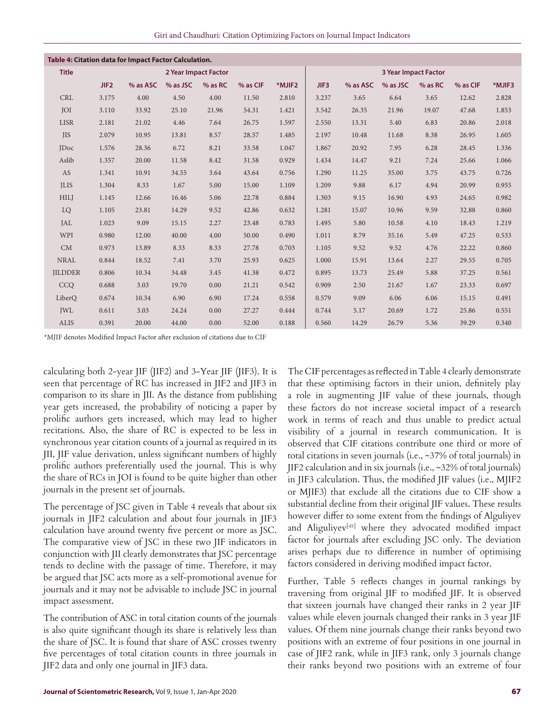| Giri and Chaudhuri: Citation Optimizing Factors on Journal Impact Indicators |  |  |  |  |
|------------------------------------------------------------------------------|--|--|--|--|
|------------------------------------------------------------------------------|--|--|--|--|

| Table 4: Citation data for Impact Factor Calculation. |       |          |                      |           |          |        |       |          |                             |         |          |        |
|-------------------------------------------------------|-------|----------|----------------------|-----------|----------|--------|-------|----------|-----------------------------|---------|----------|--------|
| <b>Title</b>                                          |       |          | 2 Year Impact Factor |           |          |        |       |          | <b>3 Year Impact Factor</b> |         |          |        |
|                                                       | JIF2  | % as ASC | % as JSC             | $%$ as RC | % as CIF | *MJIF2 | JIF3  | % as ASC | % as JSC                    | % as RC | % as CIF | *MJIF3 |
| <b>CRL</b>                                            | 3.175 | 4.00     | 4.50                 | 4.00      | 11.50    | 2.810  | 3.237 | 3.65     | 6.64                        | 3.65    | 12.62    | 2.828  |
| <b>JOI</b>                                            | 3.110 | 33.92    | 25.10                | 21.96     | 54.31    | 1.421  | 3.542 | 26.35    | 21.96                       | 19.07   | 47.68    | 1.853  |
| <b>LISR</b>                                           | 2.181 | 21.02    | 4.46                 | 7.64      | 26.75    | 1.597  | 2.550 | 13.31    | 5.40                        | 6.83    | 20.86    | 2.018  |
| <b>JIS</b>                                            | 2.079 | 10.95    | 13.81                | 8.57      | 28.57    | 1.485  | 2.197 | 10.48    | 11.68                       | 8.38    | 26.95    | 1.605  |
| <b>IDoc</b>                                           | 1.576 | 28.36    | 6.72                 | 8.21      | 33.58    | 1.047  | 1.867 | 20.92    | 7.95                        | 6.28    | 28.45    | 1.336  |
| Aslib                                                 | 1.357 | 20.00    | 11.58                | 8.42      | 31.58    | 0.929  | 1.434 | 14.47    | 9.21                        | 7.24    | 25.66    | 1.066  |
| AS                                                    | 1.341 | 10.91    | 34.55                | 3.64      | 43.64    | 0.756  | 1.290 | 11.25    | 35.00                       | 3.75    | 43.75    | 0.726  |
| <b>ILIS</b>                                           | 1.304 | 8.33     | 1.67                 | 5.00      | 15.00    | 1.109  | 1.209 | 9.88     | 6.17                        | 4.94    | 20.99    | 0.955  |
| <b>HILI</b>                                           | 1.145 | 12.66    | 16.46                | 5.06      | 22.78    | 0.884  | 1.303 | 9.15     | 16.90                       | 4.93    | 24.65    | 0.982  |
| LQ                                                    | 1.105 | 23.81    | 14.29                | 9.52      | 42.86    | 0.632  | 1.281 | 15.07    | 10.96                       | 9.59    | 32.88    | 0.860  |
| JAL                                                   | 1.023 | 9.09     | 15.15                | 2.27      | 23.48    | 0.783  | 1.495 | 5.80     | 10.58                       | 4.10    | 18.43    | 1.219  |
| WPI                                                   | 0.980 | 12.00    | 40.00                | 4.00      | 50.00    | 0.490  | 1.011 | 8.79     | 35.16                       | 5.49    | 47.25    | 0.533  |
| CM                                                    | 0.973 | 13.89    | 8.33                 | 8.33      | 27.78    | 0.703  | 1.105 | 9.52     | 9.52                        | 4.76    | 22.22    | 0.860  |
| <b>NRAL</b>                                           | 0.844 | 18.52    | 7.41                 | 3.70      | 25.93    | 0.625  | 1.000 | 15.91    | 13.64                       | 2.27    | 29.55    | 0.705  |
| <b>JILDDER</b>                                        | 0.806 | 10.34    | 34.48                | 3.45      | 41.38    | 0.472  | 0.895 | 13.73    | 25.49                       | 5.88    | 37.25    | 0.561  |
| CCO                                                   | 0.688 | 3.03     | 19.70                | 0.00      | 21.21    | 0.542  | 0.909 | 2.50     | 21.67                       | 1.67    | 23.33    | 0.697  |
| LiberQ                                                | 0.674 | 10.34    | 6.90                 | 6.90      | 17.24    | 0.558  | 0.579 | 9.09     | 6.06                        | 6.06    | 15.15    | 0.491  |
| <b>JWL</b>                                            | 0.611 | 3.03     | 24.24                | 0.00      | 27.27    | 0.444  | 0.744 | 5.17     | 20.69                       | 1.72    | 25.86    | 0.551  |
| <b>ALIS</b>                                           | 0.391 | 20.00    | 44.00                | 0.00      | 52.00    | 0.188  | 0.560 | 14.29    | 26.79                       | 5.36    | 39.29    | 0.340  |

\*MJIF denotes Modified Impact Factor after exclusion of citations due to CIF

calculating both 2-year JIF (JIF2) and 3-Year JIF (JIF3). It is seen that percentage of RC has increased in JIF2 and JIF3 in comparison to its share in JII. As the distance from publishing year gets increased, the probability of noticing a paper by prolific authors gets increased, which may lead to higher recitations. Also, the share of RC is expected to be less in synchronous year citation counts of a journal as required in its JII, JIF value derivation, unless significant numbers of highly prolific authors preferentially used the journal. This is why the share of RCs in JOI is found to be quite higher than other journals in the present set of journals.

The percentage of JSC given in Table 4 reveals that about six journals in JIF2 calculation and about four journals in JIF3 calculation have around twenty five percent or more as JSC. The comparative view of JSC in these two JIF indicators in conjunction with JII clearly demonstrates that JSC percentage tends to decline with the passage of time. Therefore, it may be argued that JSC acts more as a self-promotional avenue for journals and it may not be advisable to include JSC in journal impact assessment.

The contribution of ASC in total citation counts of the journals is also quite significant though its share is relatively less than the share of JSC. It is found that share of ASC crosses twenty five percentages of total citation counts in three journals in JIF2 data and only one journal in JIF3 data.

The CIF percentages as reflected in Table 4 clearly demonstrate that these optimising factors in their union, definitely play a role in augmenting JIF value of these journals, though these factors do not increase societal impact of a research work in terms of reach and thus unable to predict actual visibility of a journal in research communication. It is observed that CIF citations contribute one third or more of total citations in seven journals (i.e., ~37% of total journals) in JIF2 calculation and in six journals (i.e., ~32% of total journals) in JIF3 calculation. Thus, the modified JIF values (i.e., MJIF2 or MJIF3) that exclude all the citations due to CIF show a substantial decline from their original JIF values. These results however differ to some extent from the findings of Alguliyev and Aliguliyev<sup>[45]</sup> where they advocated modified impact factor for journals after excluding JSC only. The deviation arises perhaps due to difference in number of optimising factors considered in deriving modified impact factor.

Further, Table 5 reflects changes in journal rankings by traversing from original JIF to modified JIF. It is observed that sixteen journals have changed their ranks in 2 year JIF values while eleven journals changed their ranks in 3 year JIF values. Of them nine journals change their ranks beyond two positions with an extreme of four positions in one journal in case of JIF2 rank, while in JIF3 rank, only 3 journals change their ranks beyond two positions with an extreme of four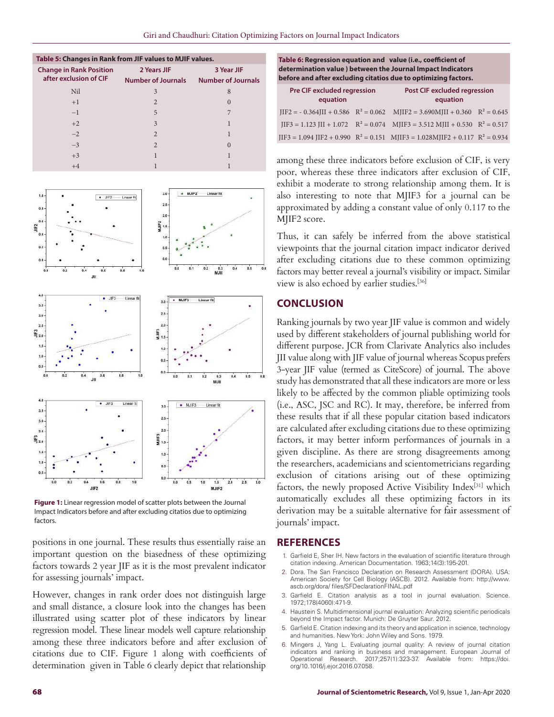| Table 5: Changes in Rank from JIF values to MJIF values. |                           |                           |  |  |  |  |  |
|----------------------------------------------------------|---------------------------|---------------------------|--|--|--|--|--|
| <b>Change in Rank Position</b>                           | 2 Years JIF               | 3 Year JIF                |  |  |  |  |  |
| after exclusion of CIF                                   | <b>Number of Journals</b> | <b>Number of Journals</b> |  |  |  |  |  |
| Nil                                                      | 3                         | 8                         |  |  |  |  |  |
| $+1$                                                     | $\mathfrak{D}$            | $\Omega$                  |  |  |  |  |  |
| $-1$                                                     | 5                         |                           |  |  |  |  |  |
| $+2$                                                     | $\mathbf{3}$              |                           |  |  |  |  |  |
| $-2$                                                     | $\mathfrak{D}$            |                           |  |  |  |  |  |
| $-3$                                                     | $\mathfrak{D}$            | $\left( \right)$          |  |  |  |  |  |
| $+3$                                                     |                           |                           |  |  |  |  |  |
| $+4$                                                     |                           |                           |  |  |  |  |  |



**Figure 1:** Linear regression model of scatter plots between the Journal Impact Indicators before and after excluding citatios due to optimizing factors.

positions in one journal. These results thus essentially raise an important question on the biasedness of these optimizing factors towards 2 year JIF as it is the most prevalent indicator for assessing journals' impact.

However, changes in rank order does not distinguish large and small distance, a closure look into the changes has been illustrated using scatter plot of these indicators by linear regression model. These linear models well capture relationship among these three indicators before and after exclusion of citations due to CIF. Figure 1 along with coefficients of determination given in Table 6 clearly depict that relationship

| Table 6: Regression equation and value (i.e., coefficient of   |  |
|----------------------------------------------------------------|--|
| determination value ) between the Journal Impact Indicators    |  |
| before and after excluding citatios due to optimizing factors. |  |

| <b>Pre CIF excluded regression</b><br>equation | <b>Post CIF excluded regression</b><br>equation                                                                        |  |
|------------------------------------------------|------------------------------------------------------------------------------------------------------------------------|--|
|                                                | $IIF2 = -0.364III + 0.586$ $R^2 = 0.062$ MJIF2 = 3.690MJII + 0.360 $R^2 = 0.645$                                       |  |
|                                                | $IIF3 = 1.123 \text{ JII} + 1.072 \quad R^2 = 0.074 \quad \text{MIIF3} = 3.512 \text{ MJII} + 0.530 \quad R^2 = 0.517$ |  |
|                                                | $IIF3 = 1.094 IIF2 + 0.990 R^2 = 0.151$ MJIF3 = 1.028MJIF2 + 0.117 $R^2 = 0.934$                                       |  |

among these three indicators before exclusion of CIF, is very poor, whereas these three indicators after exclusion of CIF, exhibit a moderate to strong relationship among them. It is also interesting to note that MJIF3 for a journal can be approximated by adding a constant value of only 0.117 to the MJIF2 score.

Thus, it can safely be inferred from the above statistical viewpoints that the journal citation impact indicator derived after excluding citations due to these common optimizing factors may better reveal a journal's visibility or impact. Similar view is also echoed by earlier studies.<sup>[36]</sup>

## **CONCLUSION**

Ranking journals by two year JIF value is common and widely used by different stakeholders of journal publishing world for different purpose. JCR from Clarivate Analytics also includes JII value along with JIF value of journal whereas Scopus prefers 3-year JIF value (termed as CiteScore) of journal. The above study has demonstrated that all these indicators are more or less likely to be affected by the common pliable optimizing tools (i.e., ASC, JSC and RC). It may, therefore, be inferred from these results that if all these popular citation based indicators are calculated after excluding citations due to these optimizing factors, it may better inform performances of journals in a given discipline. As there are strong disagreements among the researchers, academicians and scientometricians regarding exclusion of citations arising out of these optimizing factors, the newly proposed Active Visibility Index[31] which automatically excludes all these optimizing factors in its derivation may be a suitable alternative for fair assessment of journals' impact.

#### **REFERENCES**

- 1. Garfield E, Sher IH. New factors in the evaluation of scientific literature through citation indexing. American Documentation. 1963;14(3):195-201.
- 2. Dora. The San Francisco Declaration on Research Assessment (DORA). USA: American Society for Cell Biology (ASCB). 2012. Available from: http://www. ascb.org/dora/ files/SFDeclarationFINAL.pdf
- 3. Garfield E. Citation analysis as a tool in journal evaluation. Science. 1972;178(4060):471-9.
- 4. Haustein S. Multidimensional journal evaluation: Analyzing scientific periodicals beyond the Impact factor. Munich: De Gruyter Saur. 2012.
- 5. Garfield E. Citation indexing and its theory and application in science, technology and humanities. New York: John Wiley and Sons. 1979.
- 6. Mingers J, Yang L. Evaluating journal quality: A review of journal citation indicators and ranking in business and management. European Journal of Operational Research. 2017;257(1):323-37. Available from: https://doi. org/10.1016/j.ejor.2016.07.058.